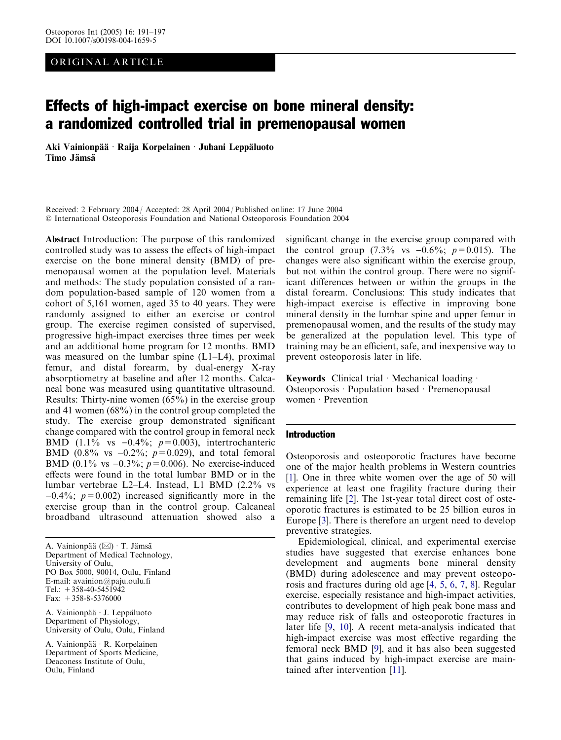# ORIGINAL ARTICLE

# Effects of high-impact exercise on bone mineral density: a randomized controlled trial in premenopausal women

Aki Vainionpää · Raija Korpelainen · Juhani Leppäluoto Timo Jämsä

Received: 2 February 2004 / Accepted: 28 April 2004 / Published online: 17 June 2004 International Osteoporosis Foundation and National Osteoporosis Foundation 2004

Abstract Introduction: The purpose of this randomized controlled study was to assess the effects of high-impact exercise on the bone mineral density (BMD) of premenopausal women at the population level. Materials and methods: The study population consisted of a random population-based sample of 120 women from a cohort of 5,161 women, aged 35 to 40 years. They were randomly assigned to either an exercise or control group. The exercise regimen consisted of supervised, progressive high-impact exercises three times per week and an additional home program for 12 months. BMD was measured on the lumbar spine (L1–L4), proximal femur, and distal forearm, by dual-energy X-ray absorptiometry at baseline and after 12 months. Calcaneal bone was measured using quantitative ultrasound. Results: Thirty-nine women (65%) in the exercise group and 41 women (68%) in the control group completed the study. The exercise group demonstrated significant change compared with the control group in femoral neck BMD (1.1% vs  $-0.4\%$ ;  $p=0.003$ ), intertrochanteric BMD (0.8% vs  $-0.2\%$ ;  $p=0.029$ ), and total femoral BMD (0.1% vs  $-0.3\%$ ;  $p=0.006$ ). No exercise-induced effects were found in the total lumbar BMD or in the lumbar vertebrae L2–L4. Instead, L1 BMD (2.2% vs  $-0.4\%$ ;  $p=0.002$ ) increased significantly more in the exercise group than in the control group. Calcaneal broadband ultrasound attenuation showed also a

A. Vainionpää (⊠) · T. Jämsä Department of Medical Technology, University of Oulu, PO Box 5000, 90014, Oulu, Finland E-mail: avainion@paju.oulu.fi Tel.:  $+358-40-5451942$ Fax: +358-8-5376000

A. Vainionpää · J. Leppäluoto Department of Physiology, University of Oulu, Oulu, Finland

A. Vainionpää · R. Korpelainen Department of Sports Medicine, Deaconess Institute of Oulu, Oulu, Finland

significant change in the exercise group compared with the control group  $(7.3\% \text{ vs } -0.6\%; \ p=0.015)$ . The changes were also significant within the exercise group, but not within the control group. There were no significant differences between or within the groups in the distal forearm. Conclusions: This study indicates that high-impact exercise is effective in improving bone mineral density in the lumbar spine and upper femur in premenopausal women, and the results of the study may be generalized at the population level. This type of training may be an efficient, safe, and inexpensive way to prevent osteoporosis later in life.

Keywords Clinical trial  $\cdot$  Mechanical loading  $\cdot$ Osteoporosis · Population based · Premenopausal  $w$ omen · Prevention

## Introduction

Osteoporosis and osteoporotic fractures have become one of the major health problems in Western countries [\[1](#page-5-0)]. One in three white women over the age of 50 will experience at least one fragility fracture during their remaining life [[2\]](#page-5-0). The 1st-year total direct cost of osteoporotic fractures is estimated to be 25 billion euros in Europe [[3\]](#page-5-0). There is therefore an urgent need to develop preventive strategies.

Epidemiological, clinical, and experimental exercise studies have suggested that exercise enhances bone development and augments bone mineral density (BMD) during adolescence and may prevent osteoporosis and fractures during old age [[4,](#page-5-0) [5](#page-5-0), [6](#page-5-0), [7](#page-5-0), [8\]](#page-5-0). Regular exercise, especially resistance and high-impact activities, contributes to development of high peak bone mass and may reduce risk of falls and osteoporotic fractures in later life [[9,](#page-5-0) [10\]](#page-5-0). A recent meta-analysis indicated that high-impact exercise was most effective regarding the femoral neck BMD [[9\]](#page-5-0), and it has also been suggested that gains induced by high-impact exercise are maintained after intervention [[11\]](#page-5-0).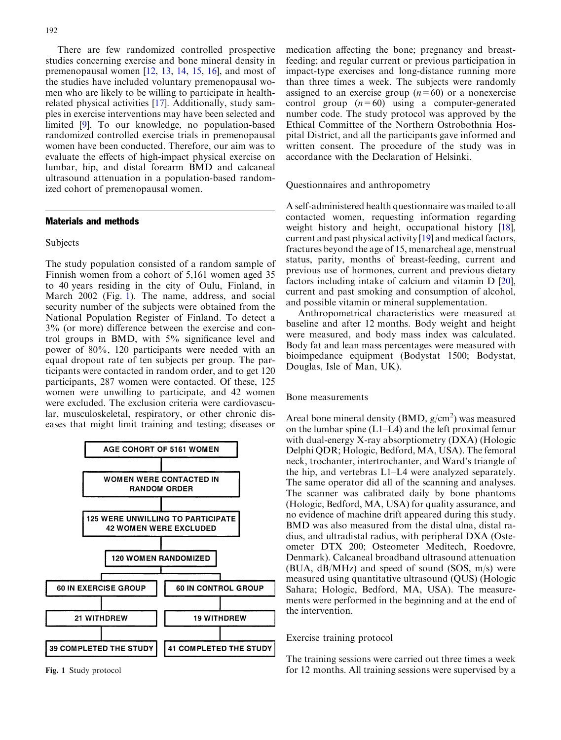There are few randomized controlled prospective studies concerning exercise and bone mineral density in premenopausal women [[12,](#page-5-0) [13](#page-5-0), [14](#page-6-0), [15,](#page-6-0) [16\]](#page-6-0), and most of the studies have included voluntary premenopausal women who are likely to be willing to participate in healthrelated physical activities [\[17](#page-6-0)]. Additionally, study samples in exercise interventions may have been selected and limited [\[9](#page-5-0)]. To our knowledge, no population-based randomized controlled exercise trials in premenopausal women have been conducted. Therefore, our aim was to evaluate the effects of high-impact physical exercise on lumbar, hip, and distal forearm BMD and calcaneal ultrasound attenuation in a population-based randomized cohort of premenopausal women.

## Materials and methods

#### Subjects

The study population consisted of a random sample of Finnish women from a cohort of 5,161 women aged 35 to 40 years residing in the city of Oulu, Finland, in March 2002 (Fig. 1). The name, address, and social security number of the subjects were obtained from the National Population Register of Finland. To detect a 3% (or more) difference between the exercise and control groups in BMD, with 5% significance level and power of 80%, 120 participants were needed with an equal dropout rate of ten subjects per group. The participants were contacted in random order, and to get 120 participants, 287 women were contacted. Of these, 125 women were unwilling to participate, and 42 women were excluded. The exclusion criteria were cardiovascular, musculoskeletal, respiratory, or other chronic diseases that might limit training and testing; diseases or



medication affecting the bone; pregnancy and breastfeeding; and regular current or previous participation in impact-type exercises and long-distance running more than three times a week. The subjects were randomly assigned to an exercise group  $(n=60)$  or a nonexercise control group  $(n=60)$  using a computer-generated number code. The study protocol was approved by the Ethical Committee of the Northern Ostrobothnia Hospital District, and all the participants gave informed and written consent. The procedure of the study was in accordance with the Declaration of Helsinki.

Questionnaires and anthropometry

A self-administered health questionnaire was mailed to all contacted women, requesting information regarding weight history and height, occupational history [\[18\]](#page-6-0), current and past physical activity [\[19](#page-6-0)] and medical factors, fractures beyond the age of 15, menarcheal age, menstrual status, parity, months of breast-feeding, current and previous use of hormones, current and previous dietary factors including intake of calcium and vitamin D [\[20\]](#page-6-0), current and past smoking and consumption of alcohol, and possible vitamin or mineral supplementation.

Anthropometrical characteristics were measured at baseline and after 12 months. Body weight and height were measured, and body mass index was calculated. Body fat and lean mass percentages were measured with bioimpedance equipment (Bodystat 1500; Bodystat, Douglas, Isle of Man, UK).

#### Bone measurements

Areal bone mineral density (BMD,  $g/cm<sup>2</sup>$ ) was measured on the lumbar spine (L1–L4) and the left proximal femur with dual-energy X-ray absorptiometry (DXA) (Hologic Delphi QDR; Hologic, Bedford, MA, USA). The femoral neck, trochanter, intertrochanter, and Ward's triangle of the hip, and vertebras L1–L4 were analyzed separately. The same operator did all of the scanning and analyses. The scanner was calibrated daily by bone phantoms (Hologic, Bedford, MA, USA) for quality assurance, and no evidence of machine drift appeared during this study. BMD was also measured from the distal ulna, distal radius, and ultradistal radius, with peripheral DXA (Osteometer DTX 200; Osteometer Meditech, Roedovre, Denmark). Calcaneal broadband ultrasound attenuation (BUA, dB/MHz) and speed of sound (SOS, m/s) were measured using quantitative ultrasound (QUS) (Hologic Sahara; Hologic, Bedford, MA, USA). The measurements were performed in the beginning and at the end of the intervention.

## Exercise training protocol

The training sessions were carried out three times a week Fig. 1 Study protocol for 12 months. All training sessions were supervised by a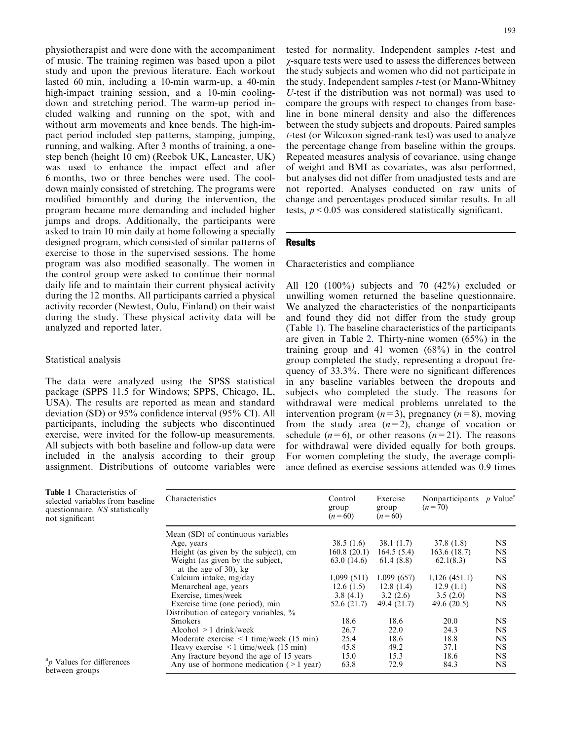physiotherapist and were done with the accompaniment of music. The training regimen was based upon a pilot study and upon the previous literature. Each workout lasted 60 min, including a 10-min warm-up, a 40-min high-impact training session, and a 10-min coolingdown and stretching period. The warm-up period included walking and running on the spot, with and without arm movements and knee bends. The high-impact period included step patterns, stamping, jumping, running, and walking. After 3 months of training, a onestep bench (height 10 cm) (Reebok UK, Lancaster, UK) was used to enhance the impact effect and after 6 months, two or three benches were used. The cooldown mainly consisted of stretching. The programs were modified bimonthly and during the intervention, the program became more demanding and included higher jumps and drops. Additionally, the participants were asked to train 10 min daily at home following a specially designed program, which consisted of similar patterns of exercise to those in the supervised sessions. The home program was also modified seasonally. The women in the control group were asked to continue their normal daily life and to maintain their current physical activity during the 12 months. All participants carried a physical activity recorder (Newtest, Oulu, Finland) on their waist during the study. These physical activity data will be analyzed and reported later.

## Statistical analysis

The data were analyzed using the SPSS statistical package (SPPS 11.5 for Windows; SPPS, Chicago, IL, USA). The results are reported as mean and standard deviation (SD) or 95% confidence interval (95% CI). All participants, including the subjects who discontinued exercise, were invited for the follow-up measurements. All subjects with both baseline and follow-up data were included in the analysis according to their group assignment. Distributions of outcome variables were

tested for normality. Independent samples t-test and *v*-square tests were used to assess the differences between the study subjects and women who did not participate in the study. Independent samples *t*-test (or Mann-Whitney U-test if the distribution was not normal) was used to compare the groups with respect to changes from baseline in bone mineral density and also the differences between the study subjects and dropouts. Paired samples t-test (or Wilcoxon signed-rank test) was used to analyze the percentage change from baseline within the groups. Repeated measures analysis of covariance, using change of weight and BMI as covariates, was also performed, but analyses did not differ from unadjusted tests and are not reported. Analyses conducted on raw units of change and percentages produced similar results. In all tests,  $p < 0.05$  was considered statistically significant.

## Results

Characteristics and compliance

All 120 (100%) subjects and 70 (42%) excluded or unwilling women returned the baseline questionnaire. We analyzed the characteristics of the nonparticipants and found they did not differ from the study group (Table 1). The baseline characteristics of the participants are given in Table [2. Thirty-nine women \(65%\) in the](#page-3-0) training group and 41 women  $(68\%)$  in the control [group completed the study, representing a dropout fre](#page-3-0)[quency of 33.3%. There were no significant differences](#page-3-0) [in any baseline variables between the dropouts and](#page-3-0) [subjects who completed the study. The reasons for](#page-3-0) [withdrawal were medical problems unrelated to the](#page-3-0) intervention program  $(n=3)$ , pregnancy  $(n=8)$ , moving from the study area  $(n=2)$ , change of vocation or schedule  $(n=6)$ , or other reasons  $(n=21)$ . The reasons [for withdrawal were divided equally for both groups.](#page-3-0) [For women completing the study, the average compli](#page-3-0)[ance defined as exercise sessions attended was 0.9 times](#page-3-0)

| <b>Table 1 Characteristics of</b><br>selected variables from baseline<br>questionnaire. NS statistically<br>not significant | Characteristics                                                          | Control<br>group<br>$(n=60)$ | Exercise<br>group<br>$(n=60)$ | Nonparticipants $p$ Value <sup>a</sup><br>$(n=70)$ |           |
|-----------------------------------------------------------------------------------------------------------------------------|--------------------------------------------------------------------------|------------------------------|-------------------------------|----------------------------------------------------|-----------|
|                                                                                                                             | Mean (SD) of continuous variables                                        |                              |                               |                                                    |           |
|                                                                                                                             | Age, years                                                               | 38.5(1.6)                    | 38.1(1.7)                     | 37.8(1.8)                                          | <b>NS</b> |
|                                                                                                                             | Height (as given by the subject), cm                                     | 160.8(20.1)                  | 164.5(5.4)                    | 163.6(18.7)                                        | <b>NS</b> |
|                                                                                                                             | Weight (as given by the subject,<br>at the age of 30), kg                | 63.0 (14.6)                  | 61.4(8.8)                     | 62.1(8.3)                                          | <b>NS</b> |
|                                                                                                                             | Calcium intake, mg/day                                                   | 1,099(511)                   | 1,099(657)                    | 1,126(451.1)                                       | NS        |
|                                                                                                                             | Menarcheal age, years                                                    | 12.6(1.5)                    | 12.8(1.4)                     | 12.9(1.1)                                          | <b>NS</b> |
|                                                                                                                             | Exercise, times/week                                                     | 3.8(4.1)                     | 3.2(2.6)                      | 3.5(2.0)                                           | <b>NS</b> |
|                                                                                                                             | Exercise time (one period), min<br>Distribution of category variables, % | 52.6 (21.7)                  | 49.4 (21.7)                   | 49.6 (20.5)                                        | NS        |
|                                                                                                                             | <b>Smokers</b>                                                           | 18.6                         | 18.6                          | 20.0                                               | <b>NS</b> |
|                                                                                                                             | Alcohol $>1$ drink/week                                                  | 26.7                         | 22.0                          | 24.3                                               | NS.       |
|                                                                                                                             | Moderate exercise $\leq 1$ time/week (15 min)                            | 25.4                         | 18.6                          | 18.8                                               | <b>NS</b> |
|                                                                                                                             | Heavy exercise $\leq 1$ time/week (15 min)                               | 45.8                         | 49.2                          | 37.1                                               | NS.       |
|                                                                                                                             | Any fracture beyond the age of 15 years                                  | 15.0                         | 15.3                          | 18.6                                               | <b>NS</b> |
| <sup>a</sup> p Values for differences<br>between groups                                                                     | Any use of hormone medication $($ > 1 year)                              | 63.8                         | 72.9                          | 84.3                                               | <b>NS</b> |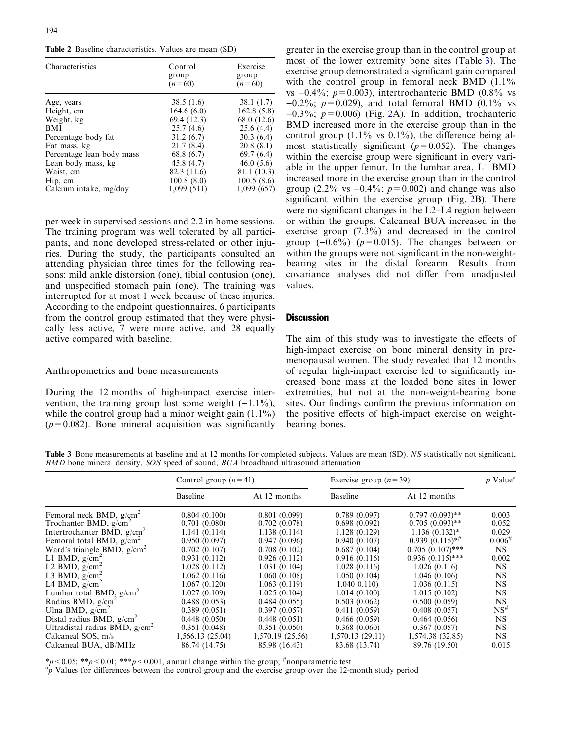<span id="page-3-0"></span>Table 2 Baseline characteristics. Values are mean (SD)

| <b>Characteristics</b>    | Control<br>group<br>$(n=60)$ | Exercise<br>group<br>$(n=60)$ |
|---------------------------|------------------------------|-------------------------------|
| Age, years                | 38.5(1.6)                    | 38.1(1.7)                     |
| Height, cm                | 164.6(6.0)                   | 162.8(5.8)                    |
| Weight, kg                | 69.4 (12.3)                  | 68.0 (12.6)                   |
| <b>BMI</b>                | 25.7(4.6)                    | 25.6(4.4)                     |
| Percentage body fat       | 31.2(6.7)                    | 30.3(6.4)                     |
| Fat mass, kg              | 21.7(8.4)                    | 20.8(8.1)                     |
| Percentage lean body mass | 68.8 (6.7)                   | 69.7(6.4)                     |
| Lean body mass, kg        | 45.8 (4.7)                   | 46.0(5.6)                     |
| Waist, cm                 | 82.3 (11.6)                  | 81.1 (10.3)                   |
| Hip, cm                   | 100.8(8.0)                   | 100.5(8.6)                    |
| Calcium intake, mg/day    | 1,099(511)                   | 1,099 (657)                   |

per week in supervised sessions and 2.2 in home sessions. The training program was well tolerated by all participants, and none developed stress-related or other injuries. During the study, the participants consulted an attending physician three times for the following reasons; mild ankle distorsion (one), tibial contusion (one), and unspecified stomach pain (one). The training was interrupted for at most 1 week because of these injuries. According to the endpoint questionnaires, 6 participants from the control group estimated that they were physically less active, 7 were more active, and 28 equally active compared with baseline.

#### Anthropometrics and bone measurements

During the 12 months of high-impact exercise intervention, the training group lost some weight  $(-1.1\%)$ , while the control group had a minor weight gain  $(1.1\%)$  $(p=0.082)$ . Bone mineral acquisition was significantly

greater in the exercise group than in the control group at most of the lower extremity bone sites (Table 3). The exercise group demonstrated a significant gain compared with the control group in femoral neck BMD (1.1%) vs  $-0.4\%$ ;  $p=0.003$ ), intertrochanteric BMD (0.8% vs  $-0.2\%$ ;  $p=0.029$ ), and total femoral BMD (0.1% vs  $-0.3\%$ ;  $p=0.006$ ) (Fig. [2A\). In addition, trochanteric](#page-4-0) [BMD increased more in the exercise group than in the](#page-4-0) control group  $(1.1\%$  vs  $0.1\%)$ , the difference being al[most statistically significant \(](#page-4-0) $p=0.052$ ). The changes [within the exercise group were significant in every vari](#page-4-0)[able in the upper femur. In the lumbar area, L1 BMD](#page-4-0) [increased more in the exercise group than in the control](#page-4-0) group (2.2% vs  $-0.4\%$ ;  $p=0.002$ ) and change was also [significant within the exercise group \(Fig.](#page-4-0) 2B). There [were no significant changes in the L2–L4 region between](#page-4-0) [or within the groups. Calcaneal BUA increased in the](#page-4-0) [exercise group \(7.3%\) and decreased in the control](#page-4-0) group  $(-0.6\%)$  ( $p=0.015$ ). The changes between or [within the groups were not significant in the non-weight](#page-4-0)[bearing sites in the distal forearm. Results from](#page-4-0) [covariance analyses did not differ from unadjusted](#page-4-0) [values.](#page-4-0)

#### **Discussion**

The aim of this study was to investigate the effects of high-impact exercise on bone mineral density in premenopausal women. The study revealed that 12 months of regular high-impact exercise led to significantly increased bone mass at the loaded bone sites in lower extremities, but not at the non-weight-bearing bone sites. Our findings confirm the previous information on the positive effects of high-impact exercise on weightbearing bones.

Table 3 Bone measurements at baseline and at 12 months for completed subjects. Values are mean (SD). NS statistically not significant, BMD bone mineral density, SOS speed of sound, BUA broadband ultrasound attenuation

|                                  | Control group $(n=41)$ |                  | Exercise group $(n=39)$ |                              | $p$ Value <sup>a</sup> |
|----------------------------------|------------------------|------------------|-------------------------|------------------------------|------------------------|
|                                  | Baseline               | At 12 months     | <b>Baseline</b>         | At 12 months                 |                        |
| Femoral neck BMD, $g/cm^2$       | 0.804(0.100)           | 0.801(0.099)     | 0.789(0.097)            | $0.797(0.093)$ **            | 0.003                  |
| Trochanter BMD, $g/cm^2$         | 0.701(0.080)           | 0.702(0.078)     | 0.698(0.092)            | $0.705(0.093)$ **            | 0.052                  |
| Intertrochanter BMD, $g/cm^2$    | 1.141(0.114)           | 1.138(0.114)     | 1.128(0.129)            | $1.136(0.132)^*$             | 0.029                  |
| Femoral total BMD, $g/cm^2$      | 0.950(0.097)           | 0.947(0.096)     | 0.940(0.107)            | $0.939(0.115)$ <sup>**</sup> | $0.006^{#}$            |
| Ward's triangle BMD, $g/cm^2$    | 0.702(0.107)           | 0.708(0.102)     | 0.687(0.104)            | $0.705(0.107)$ ***           | NS.                    |
| L1 BMD, $g/cm^2$                 | 0.931(0.112)           | 0.926(0.112)     | 0.916(0.116)            | $0.936(0.115)$ ***           | 0.002                  |
| L2 BMD, $g/cm^2$                 | 1.028(0.112)           | 1.031(0.104)     | 1.028(0.116)            | 1.026(0.116)                 | NS.                    |
| L3 BMD, $g/cm^2$                 | 1.062(0.116)           | 1.060(0.108)     | 1.050(0.104)            | 1.046(0.106)                 | <b>NS</b>              |
| L4 BMD, $g/cm^2$                 | 1.067(0.120)           | 1.063(0.119)     | $1.040$ $0.110$         | 1.036(0.115)                 | NS                     |
| Lumbar total BMD, $g/cm^2$       | 1.027(0.109)           | 1.025(0.104)     | 1.014(0.100)            | 1.015(0.102)                 | <b>NS</b>              |
| Radius BMD, $g/cm^2$             | 0.488(0.053)           | 0.484(0.055)     | 0.503(0.062)            | 0.500(0.059)                 | <b>NS</b>              |
| Ulna BMD, $g/cm^2$               | 0.389(0.051)           | 0.397(0.057)     | 0.411(0.059)            | 0.408(0.057)                 | NS <sup>#</sup>        |
| Distal radius BMD, $g/cm2$       | 0.448(0.050)           | 0.448(0.051)     | 0.466(0.059)            | 0.464(0.056)                 | <b>NS</b>              |
| Ultradistal radius BMD, $g/cm^2$ | 0.351(0.048)           | 0.351(0.050)     | 0.368(0.060)            | 0.367(0.057)                 | <b>NS</b>              |
| Calcaneal SOS, m/s               | 1,566.13 (25.04)       | 1,570.19 (25.56) | 1,570.13(29.11)         | 1,574.38 (32.85)             | NS.                    |
| Calcaneal BUA, dB/MHz            | 86.74 (14.75)          | 85.98 (16.43)    | 83.68 (13.74)           | 89.76 (19.50)                | 0.015                  |

\*p < 0.05; \*\*p < 0.01; \*\*\*p < 0.001, annual change within the group; #nonparametric test  $a_n$  Values for differences between the control group and the exercise group over the 12.

 ${}^{a}p$  Values for differences between the control group and the exercise group over the 12-month study period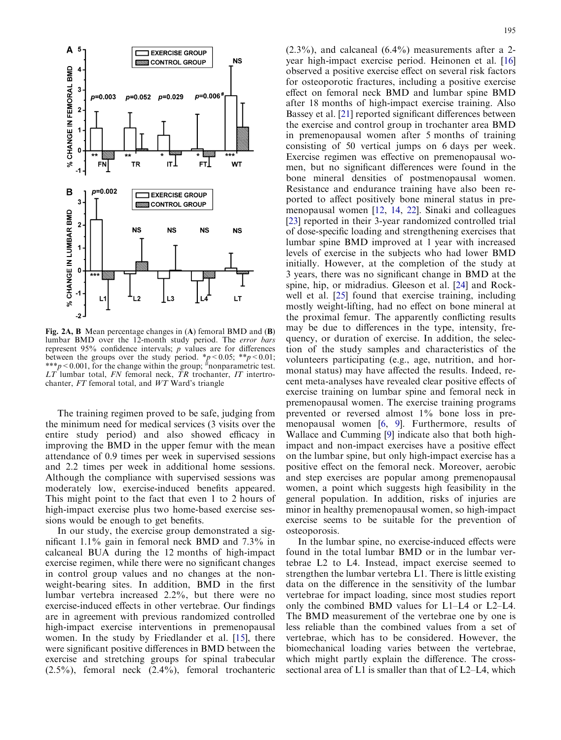<span id="page-4-0"></span>

Fig. 2A, B Mean percentage changes in (A) femoral BMD and (B) lumbar BMD over the 12-month study period. The error bars represent  $95\%$  confidence intervals;  $p$  values are for differences between the groups over the study period. \*p < 0.05; \*\*p < 0.01; \*\*\*p < 0.001, for the change within the group;  $\#$ nonparametric test.  $LT$  lumbar total,  $FN$  femoral neck,  $TR$  trochanter,  $IT$  intertrochanter, FT femoral total, and WT Ward's triangle

The training regimen proved to be safe, judging from the minimum need for medical services (3 visits over the entire study period) and also showed efficacy in improving the BMD in the upper femur with the mean attendance of 0.9 times per week in supervised sessions and 2.2 times per week in additional home sessions. Although the compliance with supervised sessions was moderately low, exercise-induced benefits appeared. This might point to the fact that even 1 to 2 hours of high-impact exercise plus two home-based exercise sessions would be enough to get benefits.

In our study, the exercise group demonstrated a significant 1.1% gain in femoral neck BMD and 7.3% in calcaneal BUA during the 12 months of high-impact exercise regimen, while there were no significant changes in control group values and no changes at the nonweight-bearing sites. In addition, BMD in the first lumbar vertebra increased 2.2%, but there were no exercise-induced effects in other vertebrae. Our findings are in agreement with previous randomized controlled high-impact exercise interventions in premenopausal women. In the study by Friedlander et al. [[15\]](#page-6-0), there were significant positive differences in BMD between the exercise and stretching groups for spinal trabecular (2.5%), femoral neck (2.4%), femoral trochanteric  $(2.3\%)$ , and calcaneal  $(6.4\%)$  measurements after a 2year high-impact exercise period. Heinonen et al. [\[16](#page-6-0)] observed a positive exercise effect on several risk factors for osteoporotic fractures, including a positive exercise effect on femoral neck BMD and lumbar spine BMD after 18 months of high-impact exercise training. Also Bassey et al. [[21\]](#page-6-0) reported significant differences between the exercise and control group in trochanter area BMD in premenopausal women after 5 months of training consisting of 50 vertical jumps on 6 days per week. Exercise regimen was effective on premenopausal women, but no significant differences were found in the bone mineral densities of postmenopausal women. Resistance and endurance training have also been reported to affect positively bone mineral status in premenopausal women [[12,](#page-5-0) [14,](#page-6-0) [22\]](#page-6-0). Sinaki and colleagues [\[23](#page-6-0)] reported in their 3-year randomized controlled trial of dose-specific loading and strengthening exercises that lumbar spine BMD improved at 1 year with increased levels of exercise in the subjects who had lower BMD initially. However, at the completion of the study at 3 years, there was no significant change in BMD at the spine, hip, or midradius. Gleeson et al. [[24\]](#page-6-0) and Rockwell et al. [\[25](#page-6-0)] found that exercise training, including mostly weight-lifting, had no effect on bone mineral at the proximal femur. The apparently conflicting results may be due to differences in the type, intensity, frequency, or duration of exercise. In addition, the selection of the study samples and characteristics of the volunteers participating (e.g., age, nutrition, and hormonal status) may have affected the results. Indeed, recent meta-analyses have revealed clear positive effects of exercise training on lumbar spine and femoral neck in premenopausal women. The exercise training programs prevented or reversed almost 1% bone loss in premenopausal women [[6](#page-5-0), [9](#page-5-0)]. Furthermore, results of Wallace and Cumming [\[9](#page-5-0)] indicate also that both highimpact and non-impact exercises have a positive effect on the lumbar spine, but only high-impact exercise has a positive effect on the femoral neck. Moreover, aerobic and step exercises are popular among premenopausal women, a point which suggests high feasibility in the general population. In addition, risks of injuries are minor in healthy premenopausal women, so high-impact exercise seems to be suitable for the prevention of osteoporosis.

In the lumbar spine, no exercise-induced effects were found in the total lumbar BMD or in the lumbar vertebrae L2 to L4. Instead, impact exercise seemed to strengthen the lumbar vertebra L1. There is little existing data on the difference in the sensitivity of the lumbar vertebrae for impact loading, since most studies report only the combined BMD values for L1–L4 or L2–L4. The BMD measurement of the vertebrae one by one is less reliable than the combined values from a set of vertebrae, which has to be considered. However, the biomechanical loading varies between the vertebrae, which might partly explain the difference. The crosssectional area of L1 is smaller than that of L2–L4, which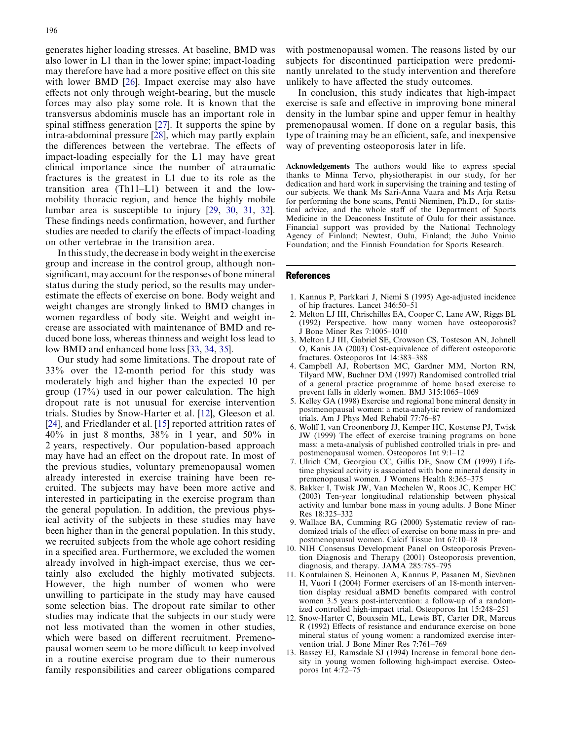<span id="page-5-0"></span>generates higher loading stresses. At baseline, BMD was also lower in L1 than in the lower spine; impact-loading may therefore have had a more positive effect on this site with lower BMD [[26](#page-6-0)]. Impact exercise may also have effects not only through weight-bearing, but the muscle forces may also play some role. It is known that the transversus abdominis muscle has an important role in spinal stiffness generation [\[27](#page-6-0)]. It supports the spine by intra-abdominal pressure [\[28](#page-6-0)], which may partly explain the differences between the vertebrae. The effects of impact-loading especially for the L1 may have great clinical importance since the number of atraumatic fractures is the greatest in L1 due to its role as the transition area (Th11–L1) between it and the lowmobility thoracic region, and hence the highly mobile lumbar area is susceptible to injury [\[29,](#page-6-0) [30,](#page-6-0) [31](#page-6-0), [32](#page-6-0)]. These findings needs confirmation, however, and further studies are needed to clarify the effects of impact-loading on other vertebrae in the transition area.

In this study, the decrease in body weight in the exercise group and increase in the control group, although nonsignificant, may account for the responses of bone mineral status during the study period, so the results may underestimate the effects of exercise on bone. Body weight and weight changes are strongly linked to BMD changes in women regardless of body site. Weight and weight increase are associated with maintenance of BMD and reduced bone loss, whereas thinness and weight loss lead to low BMD and enhanced bone loss [\[33,](#page-6-0) [34,](#page-6-0) [35](#page-6-0)].

Our study had some limitations. The dropout rate of 33% over the 12-month period for this study was moderately high and higher than the expected 10 per group (17%) used in our power calculation. The high dropout rate is not unusual for exercise intervention trials. Studies by Snow-Harter et al. [12], Gleeson et al. [[24](#page-6-0)], and Friedlander et al. [[15](#page-6-0)] reported attrition rates of 40% in just 8 months, 38% in 1 year, and 50% in 2 years, respectively. Our population-based approach may have had an effect on the dropout rate. In most of the previous studies, voluntary premenopausal women already interested in exercise training have been recruited. The subjects may have been more active and interested in participating in the exercise program than the general population. In addition, the previous physical activity of the subjects in these studies may have been higher than in the general population. In this study, we recruited subjects from the whole age cohort residing in a specified area. Furthermore, we excluded the women already involved in high-impact exercise, thus we certainly also excluded the highly motivated subjects. However, the high number of women who were unwilling to participate in the study may have caused some selection bias. The dropout rate similar to other studies may indicate that the subjects in our study were not less motivated than the women in other studies, which were based on different recruitment. Premenopausal women seem to be more difficult to keep involved in a routine exercise program due to their numerous family responsibilities and career obligations compared

with postmenopausal women. The reasons listed by our subjects for discontinued participation were predominantly unrelated to the study intervention and therefore unlikely to have affected the study outcomes.

In conclusion, this study indicates that high-impact exercise is safe and effective in improving bone mineral density in the lumbar spine and upper femur in healthy premenopausal women. If done on a regular basis, this type of training may be an efficient, safe, and inexpensive way of preventing osteoporosis later in life.

Acknowledgements The authors would like to express special thanks to Minna Tervo, physiotherapist in our study, for her dedication and hard work in supervising the training and testing of our subjects. We thank Ms Sari-Anna Vaara and Ms Arja Retsu for performing the bone scans, Pentti Nieminen, Ph.D., for statistical advice, and the whole staff of the Department of Sports Medicine in the Deaconess Institute of Oulu for their assistance. Financial support was provided by the National Technology Agency of Finland; Newtest, Oulu, Finland; the Juho Vainio Foundation; and the Finnish Foundation for Sports Research.

#### References

- 1. Kannus P, Parkkari J, Niemi S (1995) Age-adjusted incidence of hip fractures. Lancet 346:50–51
- 2. Melton LJ III, Chrischilles EA, Cooper C, Lane AW, Riggs BL (1992) Perspective. how many women have osteoporosis? J Bone Miner Res 7:1005–1010
- 3. Melton LJ III, Gabriel SE, Crowson CS, Tosteson AN, Johnell O, Kanis JA (2003) Cost-equivalence of different osteoporotic fractures. Osteoporos Int 14:383–388
- 4. Campbell AJ, Robertson MC, Gardner MM, Norton RN, Tilyard MW, Buchner DM (1997) Randomised controlled trial of a general practice programme of home based exercise to prevent falls in elderly women. BMJ 315:1065–1069
- 5. Kelley GA (1998) Exercise and regional bone mineral density in postmenopausal women: a meta-analytic review of randomized trials. Am J Phys Med Rehabil 77:76–87
- 6. Wolff I, van Croonenborg JJ, Kemper HC, Kostense PJ, Twisk JW (1999) The effect of exercise training programs on bone mass: a meta-analysis of published controlled trials in pre- and postmenopausal women. Osteoporos Int 9:1–12
- 7. Ulrich CM, Georgiou CC, Gillis DE, Snow CM (1999) Lifetime physical activity is associated with bone mineral density in premenopausal women. J Womens Health 8:365–375
- 8. Bakker I, Twisk JW, Van Mechelen W, Roos JC, Kemper HC (2003) Ten-year longitudinal relationship between physical activity and lumbar bone mass in young adults. J Bone Miner Res 18:325–332
- 9. Wallace BA, Cumming RG (2000) Systematic review of randomized trials of the effect of exercise on bone mass in pre- and postmenopausal women. Calcif Tissue Int 67:10–18
- 10. NIH Consensus Development Panel on Osteoporosis Prevention Diagnosis and Therapy (2001) Osteoporosis prevention, diagnosis, and therapy. JAMA 285:785–795
- 11. Kontulainen S, Heinonen A, Kannus P, Pasanen M, Sievänen H, Vuori I (2004) Former exercisers of an 18-month intervention display residual aBMD benefits compared with control women 3.5 years post-intervention: a follow-up of a randomized controlled high-impact trial. Osteoporos Int 15:248–251
- 12. Snow-Harter C, Bouxsein ML, Lewis BT, Carter DR, Marcus R (1992) Effects of resistance and endurance exercise on bone mineral status of young women: a randomized exercise intervention trial. J Bone Miner Res 7:761–769
- 13. Bassey EJ, Ramsdale SJ (1994) Increase in femoral bone density in young women following high-impact exercise. Osteoporos Int 4:72–75